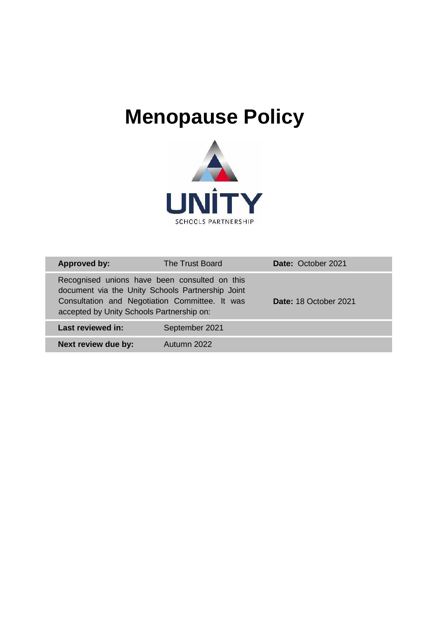# **Menopause Policy**



| <b>Approved by:</b>                       | The Trust Board                                                                                                                                     | Date: October 2021    |
|-------------------------------------------|-----------------------------------------------------------------------------------------------------------------------------------------------------|-----------------------|
| accepted by Unity Schools Partnership on: | Recognised unions have been consulted on this<br>document via the Unity Schools Partnership Joint<br>Consultation and Negotiation Committee. It was | Date: 18 October 2021 |
| Last reviewed in:                         | September 2021                                                                                                                                      |                       |
| Next review due by:                       | Autumn 2022                                                                                                                                         |                       |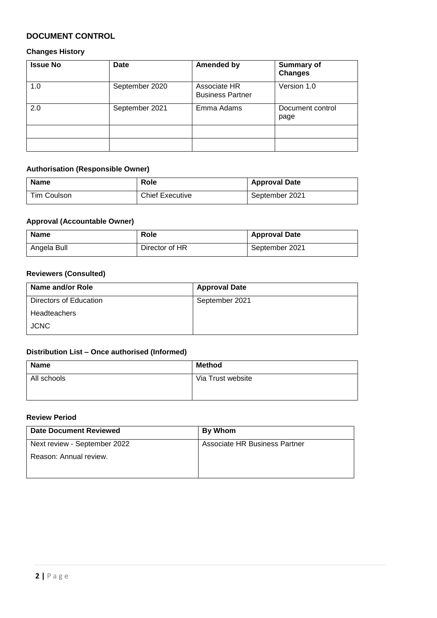#### **DOCUMENT CONTROL**

#### **Changes History**

| <b>Issue No</b> | Date           | <b>Amended by</b>                       | <b>Summary of</b><br><b>Changes</b> |
|-----------------|----------------|-----------------------------------------|-------------------------------------|
| 1.0             | September 2020 | Associate HR<br><b>Business Partner</b> | Version 1.0                         |
| 2.0             | September 2021 | Emma Adams                              | Document control<br>page            |
|                 |                |                                         |                                     |
|                 |                |                                         |                                     |

#### **Authorisation (Responsible Owner)**

| <b>Name</b> | Role                   | <b>Approval Date</b> |
|-------------|------------------------|----------------------|
| Tim Coulson | <b>Chief Executive</b> | September 2021       |

#### **Approval (Accountable Owner)**

| <b>Name</b> | Role           | <b>Approval Date</b> |
|-------------|----------------|----------------------|
| Angela Bull | Director of HR | September 2021       |

#### **Reviewers (Consulted)**

| Name and/or Role       | <b>Approval Date</b> |
|------------------------|----------------------|
| Directors of Education | September 2021       |
| <b>Headteachers</b>    |                      |
| <b>JCNC</b>            |                      |

# **Distribution List – Once authorised (Informed)**

| <b>Name</b> | <b>Method</b>     |
|-------------|-------------------|
| All schools | Via Trust website |
|             |                   |

#### **Review Period**

| Date Document Reviewed       | <b>By Whom</b>                |
|------------------------------|-------------------------------|
| Next review - September 2022 | Associate HR Business Partner |
| Reason: Annual review.       |                               |
|                              |                               |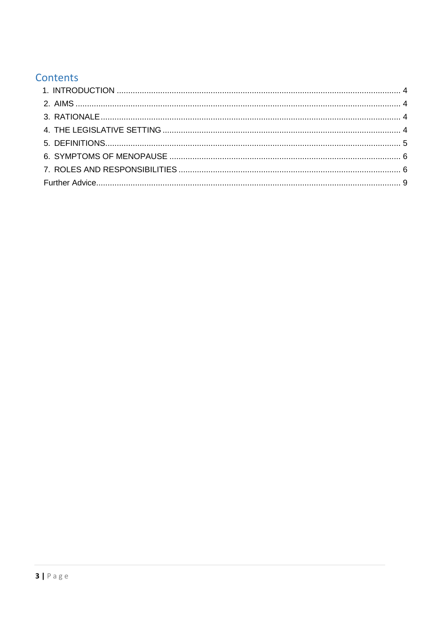# Contents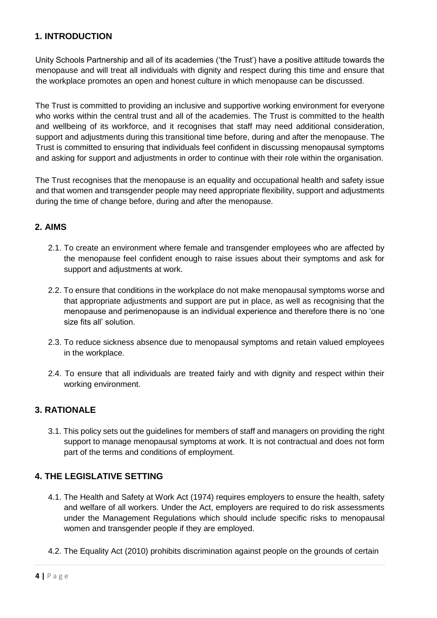## <span id="page-3-0"></span>**1. INTRODUCTION**

Unity Schools Partnership and all of its academies ('the Trust') have a positive attitude towards the menopause and will treat all individuals with dignity and respect during this time and ensure that the workplace promotes an open and honest culture in which menopause can be discussed.

The Trust is committed to providing an inclusive and supportive working environment for everyone who works within the central trust and all of the academies. The Trust is committed to the health and wellbeing of its workforce, and it recognises that staff may need additional consideration, support and adjustments during this transitional time before, during and after the menopause. The Trust is committed to ensuring that individuals feel confident in discussing menopausal symptoms and asking for support and adjustments in order to continue with their role within the organisation.

The Trust recognises that the menopause is an equality and occupational health and safety issue and that women and transgender people may need appropriate flexibility, support and adjustments during the time of change before, during and after the menopause.

#### <span id="page-3-1"></span>**2. AIMS**

- 2.1. To create an environment where female and transgender employees who are affected by the menopause feel confident enough to raise issues about their symptoms and ask for support and adjustments at work.
- 2.2. To ensure that conditions in the workplace do not make menopausal symptoms worse and that appropriate adjustments and support are put in place, as well as recognising that the menopause and perimenopause is an individual experience and therefore there is no 'one size fits all' solution.
- 2.3. To reduce sickness absence due to menopausal symptoms and retain valued employees in the workplace.
- 2.4. To ensure that all individuals are treated fairly and with dignity and respect within their working environment.

#### <span id="page-3-2"></span>**3. RATIONALE**

3.1. This policy sets out the guidelines for members of staff and managers on providing the right support to manage menopausal symptoms at work. It is not contractual and does not form part of the terms and conditions of employment.

#### <span id="page-3-3"></span>**4. THE LEGISLATIVE SETTING**

- 4.1. The Health and Safety at Work Act (1974) requires employers to ensure the health, safety and welfare of all workers. Under the Act, employers are required to do risk assessments under the Management Regulations which should include specific risks to menopausal women and transgender people if they are employed.
- 4.2. The Equality Act (2010) prohibits discrimination against people on the grounds of certain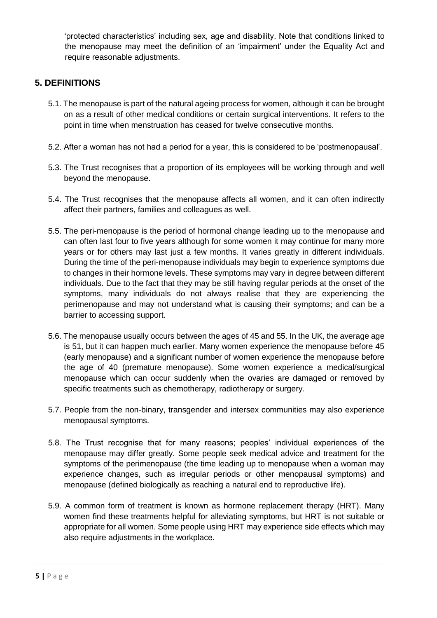'protected characteristics' including sex, age and disability. Note that conditions linked to the menopause may meet the definition of an 'impairment' under the Equality Act and require reasonable adjustments.

### <span id="page-4-0"></span>**5. DEFINITIONS**

- 5.1. The menopause is part of the natural ageing process for women, although it can be brought on as a result of other medical conditions or certain surgical interventions. It refers to the point in time when menstruation has ceased for twelve consecutive months.
- 5.2. After a woman has not had a period for a year, this is considered to be 'postmenopausal'.
- 5.3. The Trust recognises that a proportion of its employees will be working through and well beyond the menopause.
- 5.4. The Trust recognises that the menopause affects all women, and it can often indirectly affect their partners, families and colleagues as well.
- 5.5. The peri-menopause is the period of hormonal change leading up to the menopause and can often last four to five years although for some women it may continue for many more years or for others may last just a few months. It varies greatly in different individuals. During the time of the peri-menopause individuals may begin to experience symptoms due to changes in their hormone levels. These symptoms may vary in degree between different individuals. Due to the fact that they may be still having regular periods at the onset of the symptoms, many individuals do not always realise that they are experiencing the perimenopause and may not understand what is causing their symptoms; and can be a barrier to accessing support.
- 5.6. The menopause usually occurs between the ages of 45 and 55. In the UK, the average age is 51, but it can happen much earlier. Many women experience the menopause before 45 (early menopause) and a significant number of women experience the menopause before the age of 40 (premature menopause). Some women experience a medical/surgical menopause which can occur suddenly when the ovaries are damaged or removed by specific treatments such as chemotherapy, radiotherapy or surgery.
- 5.7. People from the non-binary, transgender and intersex communities may also experience menopausal symptoms.
- 5.8. The Trust recognise that for many reasons; peoples' individual experiences of the menopause may differ greatly. Some people seek medical advice and treatment for the symptoms of the perimenopause (the time leading up to menopause when a woman may experience changes, such as irregular periods or other menopausal symptoms) and menopause (defined biologically as reaching a natural end to reproductive life).
- 5.9. A common form of treatment is known as hormone replacement therapy (HRT). Many women find these treatments helpful for alleviating symptoms, but HRT is not suitable or appropriate for all women. Some people using HRT may experience side effects which may also require adjustments in the workplace.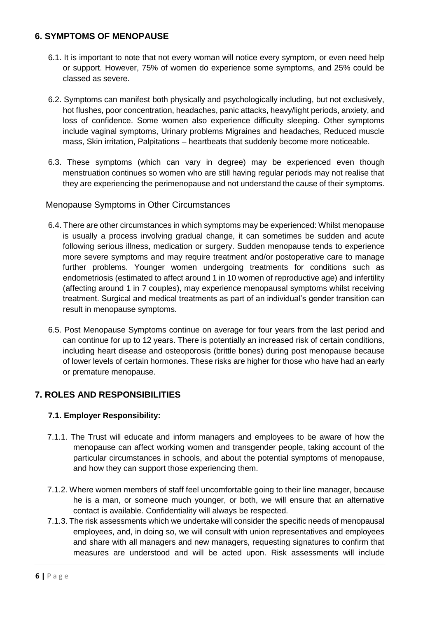#### <span id="page-5-0"></span>**6. SYMPTOMS OF MENOPAUSE**

- 6.1. It is important to note that not every woman will notice every symptom, or even need help or support. However, 75% of women do experience some symptoms, and 25% could be classed as severe.
- 6.2. Symptoms can manifest both physically and psychologically including, but not exclusively, hot flushes, poor concentration, headaches, panic attacks, heavy/light periods, anxiety, and loss of confidence. Some women also experience difficulty sleeping. Other symptoms include vaginal symptoms, Urinary problems Migraines and headaches, Reduced muscle mass, Skin irritation, Palpitations – heartbeats that suddenly become more noticeable.
- 6.3. These symptoms (which can vary in degree) may be experienced even though menstruation continues so women who are still having regular periods may not realise that they are experiencing the perimenopause and not understand the cause of their symptoms.

#### Menopause Symptoms in Other Circumstances

- 6.4. There are other circumstances in which symptoms may be experienced: Whilst menopause is usually a process involving gradual change, it can sometimes be sudden and acute following serious illness, medication or surgery. Sudden menopause tends to experience more severe symptoms and may require treatment and/or postoperative care to manage further problems. Younger women undergoing treatments for conditions such as endometriosis (estimated to affect around 1 in 10 women of reproductive age) and infertility (affecting around 1 in 7 couples), may experience menopausal symptoms whilst receiving treatment. Surgical and medical treatments as part of an individual's gender transition can result in menopause symptoms.
- 6.5. Post Menopause Symptoms continue on average for four years from the last period and can continue for up to 12 years. There is potentially an increased risk of certain conditions, including heart disease and osteoporosis (brittle bones) during post menopause because of lower levels of certain hormones. These risks are higher for those who have had an early or premature menopause.

## <span id="page-5-1"></span>**7. ROLES AND RESPONSIBILITIES**

#### **7.1. Employer Responsibility:**

- 7.1.1. The Trust will educate and inform managers and employees to be aware of how the menopause can affect working women and transgender people, taking account of the particular circumstances in schools, and about the potential symptoms of menopause, and how they can support those experiencing them.
- 7.1.2. Where women members of staff feel uncomfortable going to their line manager, because he is a man, or someone much younger, or both, we will ensure that an alternative contact is available. Confidentiality will always be respected.
- 7.1.3. The risk assessments which we undertake will consider the specific needs of menopausal employees, and, in doing so, we will consult with union representatives and employees and share with all managers and new managers, requesting signatures to confirm that measures are understood and will be acted upon. Risk assessments will include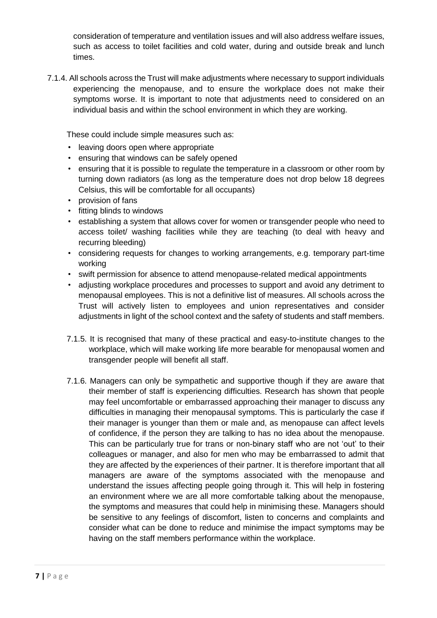consideration of temperature and ventilation issues and will also address welfare issues, such as access to toilet facilities and cold water, during and outside break and lunch times.

7.1.4. All schools across the Trust will make adjustments where necessary to support individuals experiencing the menopause, and to ensure the workplace does not make their symptoms worse. It is important to note that adjustments need to considered on an individual basis and within the school environment in which they are working.

These could include simple measures such as:

- leaving doors open where appropriate
- ensuring that windows can be safely opened
- ensuring that it is possible to regulate the temperature in a classroom or other room by turning down radiators (as long as the temperature does not drop below 18 degrees Celsius, this will be comfortable for all occupants)
- provision of fans
- fitting blinds to windows
- establishing a system that allows cover for women or transgender people who need to access toilet/ washing facilities while they are teaching (to deal with heavy and recurring bleeding)
- considering requests for changes to working arrangements, e.g. temporary part-time working
- swift permission for absence to attend menopause-related medical appointments
- adjusting workplace procedures and processes to support and avoid any detriment to menopausal employees. This is not a definitive list of measures. All schools across the Trust will actively listen to employees and union representatives and consider adjustments in light of the school context and the safety of students and staff members.
- 7.1.5. It is recognised that many of these practical and easy-to-institute changes to the workplace, which will make working life more bearable for menopausal women and transgender people will benefit all staff.
- 7.1.6. Managers can only be sympathetic and supportive though if they are aware that their member of staff is experiencing difficulties. Research has shown that people may feel uncomfortable or embarrassed approaching their manager to discuss any difficulties in managing their menopausal symptoms. This is particularly the case if their manager is younger than them or male and, as menopause can affect levels of confidence, if the person they are talking to has no idea about the menopause. This can be particularly true for trans or non-binary staff who are not 'out' to their colleagues or manager, and also for men who may be embarrassed to admit that they are affected by the experiences of their partner. It is therefore important that all managers are aware of the symptoms associated with the menopause and understand the issues affecting people going through it. This will help in fostering an environment where we are all more comfortable talking about the menopause, the symptoms and measures that could help in minimising these. Managers should be sensitive to any feelings of discomfort, listen to concerns and complaints and consider what can be done to reduce and minimise the impact symptoms may be having on the staff members performance within the workplace.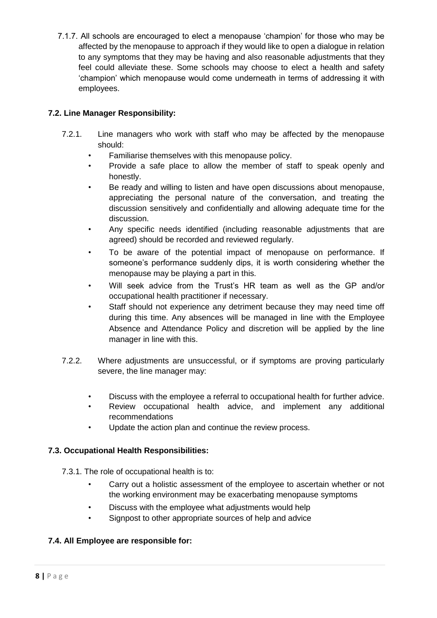7.1.7. All schools are encouraged to elect a menopause 'champion' for those who may be affected by the menopause to approach if they would like to open a dialogue in relation to any symptoms that they may be having and also reasonable adjustments that they feel could alleviate these. Some schools may choose to elect a health and safety 'champion' which menopause would come underneath in terms of addressing it with employees.

#### **7.2. Line Manager Responsibility:**

- 7.2.1. Line managers who work with staff who may be affected by the menopause should:
	- Familiarise themselves with this menopause policy.
	- Provide a safe place to allow the member of staff to speak openly and honestly.
	- Be ready and willing to listen and have open discussions about menopause, appreciating the personal nature of the conversation, and treating the discussion sensitively and confidentially and allowing adequate time for the discussion.
	- Any specific needs identified (including reasonable adjustments that are agreed) should be recorded and reviewed regularly.
	- To be aware of the potential impact of menopause on performance. If someone's performance suddenly dips, it is worth considering whether the menopause may be playing a part in this.
	- Will seek advice from the Trust's HR team as well as the GP and/or occupational health practitioner if necessary.
	- Staff should not experience any detriment because they may need time off during this time. Any absences will be managed in line with the Employee Absence and Attendance Policy and discretion will be applied by the line manager in line with this.
- 7.2.2. Where adjustments are unsuccessful, or if symptoms are proving particularly severe, the line manager may:
	- Discuss with the employee a referral to occupational health for further advice.
	- Review occupational health advice, and implement any additional recommendations
	- Update the action plan and continue the review process.

#### **7.3. Occupational Health Responsibilities:**

7.3.1. The role of occupational health is to:

- Carry out a holistic assessment of the employee to ascertain whether or not the working environment may be exacerbating menopause symptoms
- Discuss with the employee what adjustments would help
- Signpost to other appropriate sources of help and advice

#### **7.4. All Employee are responsible for:**